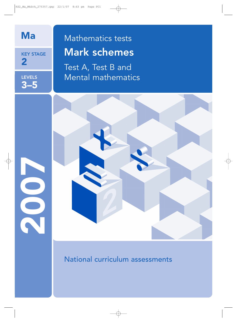

KEY STAGE 2

LEVELS 3–5

2007

# Mathematics tests Mark schemes

Test A, Test B and Mental mathematics

National curriculum assessments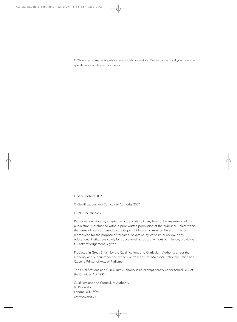QCA wishes to make its publications widely accessible. Please contact us if you have any specific accessibility requirements.

First published 2007

© Qualifications and Curriculum Authority 2007

ISBN 1-85838-892-9

Reproduction, storage, adaptation or translation, in any form or by any means, of this publication is prohibited without prior written permission of the publisher, unless within the terms of licences issued by the Copyright Licensing Agency. Excerpts may be reproduced for the purpose of research, private study, criticism or review, or by educational institutions solely for educational purposes, without permission, providing full acknowledgement is given.

Produced in Great Britain by the Qualifications and Curriculum Authority under the authority and superintendence of the Controller of Her Majesty's Stationery Office and Queen's Printer of Acts of Parliament.

The Qualifications and Curriculum Authority is an exempt charity under Schedule 2 of the Charities Act 1993.

Qualifications and Curriculum Authority 83 Piccadilly London W1J 8QA www.qca.org.uk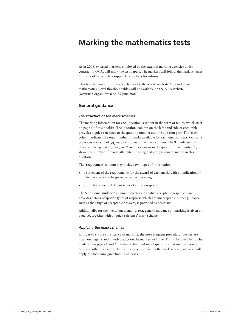## **Marking the mathematics tests**

As in 2006, external markers, employed by the external marking agencies under contract to QCA, will mark the test papers. The markers will follow the mark schemes in this booklet, which is supplied to teachers for information.

This booklet contains the mark schemes for the levels 3–5 tests A, B and mental mathematics. Level threshold tables will be available on the NAA website (www.naa.org.uk/tests) on 25 June 2007.

#### **General guidance**

#### *The structure of the mark schemes*

The marking information for each question is set out in the form of tables, which start on page 6 of this booklet. The '**question**' column on the left-hand side of each table provides a quick reference to the question number and the question part. The '**mark**' column indicates the total number of marks available for each question part. On some occasions the symbol  $(U_1)$  may be shown in the mark column. The 'U' indicates that there is a *Using and applying mathematics* element in the question. The number, 1, shows the number of marks attributed to using and applying mathematics in this question.

The '**requirement**' column may include two types of information:

- a statement of the requirements for the award of each mark, with an indication of whether credit can be given for correct working
- examples of some different types of correct response.

The '**additional guidance**' column indicates alternative acceptable responses, and provides details of specific types of response which are unacceptable. Other guidance, such as the range of acceptable answers, is provided as necessary.

Additionally, for the mental mathematics test, general guidance on marking is given on page 16, together with a 'quick reference' mark scheme.

#### *Applying the mark schemes*

In order to ensure consistency of marking, the most frequent procedural queries are listed on pages 2 and 3 with the action the marker will take. This is followed by further guidance on pages 4 and 5 relating to the marking of questions that involve money, time and other measures. Unless otherwise specified in the mark scheme, markers will apply the following guidelines in all cases.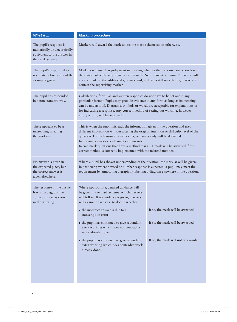| What if                                                                                                    | <b>Marking procedure</b>                                                                                                                                                                                                                                                                                                                                                                                                                                                                                |                                                                                                              |  |
|------------------------------------------------------------------------------------------------------------|---------------------------------------------------------------------------------------------------------------------------------------------------------------------------------------------------------------------------------------------------------------------------------------------------------------------------------------------------------------------------------------------------------------------------------------------------------------------------------------------------------|--------------------------------------------------------------------------------------------------------------|--|
| The pupil's response is<br>numerically or algebraically<br>equivalent to the answer in<br>the mark scheme. | Markers will award the mark unless the mark scheme states otherwise.                                                                                                                                                                                                                                                                                                                                                                                                                                    |                                                                                                              |  |
| The pupil's response does<br>not match closely any of the<br>examples given.                               | Markers will use their judgement in deciding whether the response corresponds with<br>the statement of the requirements given in the 'requirement' column. Reference will<br>also be made to the additional guidance and, if there is still uncertainty, markers will<br>contact the supervising marker.                                                                                                                                                                                                |                                                                                                              |  |
| The pupil has responded<br>in a non-standard way.                                                          | Calculations, formulae and written responses do not have to be set out in any<br>particular format. Pupils may provide evidence in any form as long as its meaning<br>can be understood. Diagrams, symbols or words are acceptable for explanations or<br>for indicating a response. Any correct method of setting out working, however<br>idiosyncratic, will be accepted.                                                                                                                             |                                                                                                              |  |
| There appears to be a<br>misreading affecting<br>the working.                                              | This is when the pupil misreads the information given in the question and uses<br>different information without altering the original intention or difficulty level of the<br>question. For each misread that occurs, one mark only will be deducted.<br>In one-mark questions - 0 marks are awarded.<br>In two-mark questions that have a method mark $-1$ mark will be awarded if the<br>correct method is correctly implemented with the misread number.                                             |                                                                                                              |  |
| No answer is given in<br>the expected place, but<br>the correct answer is<br>given elsewhere.              | Where a pupil has shown understanding of the question, the mark(s) will be given.<br>In particular, where a word or number response is expected, a pupil may meet the<br>requirement by annotating a graph or labelling a diagram elsewhere in the question.                                                                                                                                                                                                                                            |                                                                                                              |  |
| The response in the answer<br>box is wrong, but the<br>correct answer is shown<br>in the working.          | Where appropriate, detailed guidance will<br>be given in the mark scheme, which markers<br>will follow. If no guidance is given, markers<br>will examine each case to decide whether:<br>$\blacksquare$ the incorrect answer is due to a<br>transcription error<br>• the pupil has continued to give redundant<br>extra working which does not contradict<br>work already done<br>$\blacksquare$ the pupil has continued to give redundant<br>extra working which does contradict work<br>already done. | If so, the mark will be awarded.<br>If so, the mark will be awarded.<br>If so, the mark will not be awarded. |  |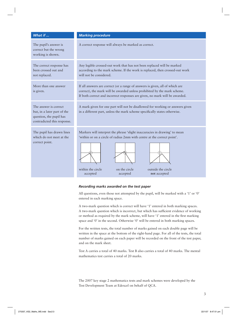| What if                                                                                                         | <b>Marking procedure</b>                                                                                                                                                                                                                                  |  |  |
|-----------------------------------------------------------------------------------------------------------------|-----------------------------------------------------------------------------------------------------------------------------------------------------------------------------------------------------------------------------------------------------------|--|--|
| The pupil's answer is<br>correct but the wrong<br>working is shown.                                             | A correct response will always be marked as correct.                                                                                                                                                                                                      |  |  |
| The correct response has<br>been crossed out and<br>not replaced.                                               | Any legible crossed-out work that has not been replaced will be marked<br>according to the mark scheme. If the work is replaced, then crossed-out work<br>will not be considered.                                                                         |  |  |
| More than one answer<br>is given.                                                                               | If all answers are correct (or a range of answers is given, all of which are<br>correct), the mark will be awarded unless prohibited by the mark scheme.<br>If both correct and incorrect responses are given, no mark will be awarded.                   |  |  |
| The answer is correct.<br>but, in a later part of the<br>question, the pupil has<br>contradicted this response. | A mark given for one part will not be disallowed for working or answers given<br>in a different part, unless the mark scheme specifically states otherwise.                                                                                               |  |  |
| The pupil has drawn lines<br>which do not meet at the<br>correct point.                                         | Markers will interpret the phrase 'slight inaccuracies in drawing' to mean<br>'within or on a circle of radius 2mm with centre at the correct point'.<br>within the circle<br>on the circle<br>outside the circle<br>accepted<br>accepted<br>not accepted |  |  |

#### *Recording marks awarded on the test paper*

All questions, even those not attempted by the pupil, will be marked with a '1' or '0' entered in each marking space.

A two-mark question which is correct will have '1' entered in both marking spaces. A two-mark question which is incorrect, but which has sufficient evidence of working or method as required by the mark scheme, will have '1' entered in the first marking space and '0' in the second. Otherwise '0' will be entered in both marking spaces.

For the written tests, the total number of marks gained on each double page will be written in the space at the bottom of the right-hand page. For all of the tests, the total number of marks gained on each paper will be recorded on the front of the test paper, and on the mark sheet.

Test A carries a total of 40 marks. Test B also carries a total of 40 marks. The mental mathematics test carries a total of 20 marks.

The 2007 key stage 2 mathematics tests and mark schemes were developed by the Test Development Team at Edexcel on behalf of QCA.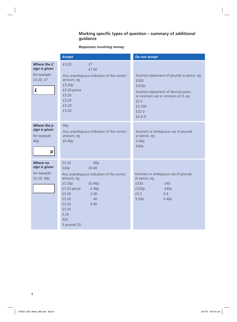#### **Marking specific types of question – summary of additional guidance**

## *Responses involving money*

|                                                                      | <b>Accept</b>                                                                                                                                                                                                                | Do not accept                                                                                                                                                                       |
|----------------------------------------------------------------------|------------------------------------------------------------------------------------------------------------------------------------------------------------------------------------------------------------------------------|-------------------------------------------------------------------------------------------------------------------------------------------------------------------------------------|
| Where the £<br>sign is given<br>for example:<br>£3.20, £7<br>£       | £3.20<br>£7<br>£7.00<br>Any unambiguous indication of the correct<br>amount, eg<br>£3.20p<br>£3 20 pence<br>£3 20<br>£3,20<br>£3-20<br>£3:20                                                                                 | Incorrect placement of pounds or pence, eg<br>£320<br>£320p<br>Incorrect placement of decimal point,<br>or incorrect use or omission of 0, eg<br>£3.2<br>£3 200<br>£320<br>$£3-2-0$ |
| Where the p<br>sign is given<br>for example:<br>40 <sub>p</sub><br>p | 40p<br>Any unambiguous indication of the correct<br>amount, eg<br>£0.40p                                                                                                                                                     | Incorrect or ambiguous use of pounds<br>or pence, eg<br>0.40 <sub>p</sub><br>£40p                                                                                                   |
| <b>Where no</b><br>sign is given<br>for example:<br>£3.20, 40p       | £3.20<br>40p<br>£0.40<br>320p<br>Any unambiguous indication of the correct<br>amount, eg<br>£3.20p<br>£0.40p<br>£3 20 pence<br>£.40p<br>£3 20<br>f.40<br>£3,20<br>40<br>£3-20<br>0.40<br>£3:20<br>3.20<br>320<br>3 pounds 20 | Incorrect or ambiguous use of pounds<br>or pence, eg<br>£320<br>£40<br>£40p<br>£320p<br>£3.2<br>0.4<br>3.20p<br>0.40 <sub>p</sub>                                                   |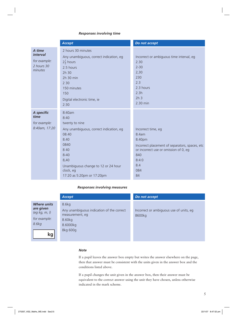#### *Responses involving time*

|                                                                    | <b>Accept</b>                                                                                                                                                                                                       | Do not accept                                                                                                                                                        |
|--------------------------------------------------------------------|---------------------------------------------------------------------------------------------------------------------------------------------------------------------------------------------------------------------|----------------------------------------------------------------------------------------------------------------------------------------------------------------------|
| A time<br><i>interval</i><br>for example:<br>2 hours 30<br>minutes | 2 hours 30 minutes<br>Any unambiguous, correct indication, eg<br>$2\frac{1}{2}$ hours<br>2.5 hours<br>2h 30<br>2h 30 min<br>2 3 0<br>150 minutes<br>150<br>Digital electronic time, ie<br>2:30                      | Incorrect or ambiguous time interval, eg<br>2.30<br>$2 - 30$<br>2,30<br>230<br>2.3<br>2.3 hours<br>2.3h<br>2h <sub>3</sub><br>2.30 min                               |
| A specific<br>time<br>for example:<br>8:40am, 17:20                | 8:40am<br>8:40<br>twenty to nine<br>Any unambiguous, correct indication, eg<br>08.40<br>8.40<br>0840<br>8 4 0<br>$8 - 40$<br>8,40<br>Unambiguous change to 12 or 24 hour<br>clock, eg<br>17:20 as 5:20pm or 17:20pm | Incorrect time, eg<br>8.4am<br>8.40pm<br>Incorrect placement of separators, spaces, etc<br>or incorrect use or omission of 0, eg<br>840<br>8:4:0<br>8.4<br>084<br>84 |

#### *Responses involving measures*

|                                                                           | <b>Accept</b>                                                                               | Do not accept                                     |
|---------------------------------------------------------------------------|---------------------------------------------------------------------------------------------|---------------------------------------------------|
| <b>Where units</b><br>are given<br>(eg kg, m, l)<br>for example:<br>8.6kg | 8.6kg<br>Any unambiguous indication of the correct<br>measurement, eg<br>8.60kg<br>8.6000kg | Incorrect or ambiguous use of units, eq<br>8600kg |
| kg                                                                        | 8kg 600g                                                                                    |                                                   |

#### *Note*

If a pupil leaves the answer box empty but writes the answer elsewhere on the page, then that answer must be consistent with the units given in the answer box and the conditions listed above.

If a pupil changes the unit given in the answer box, then their answer must be equivalent to the correct answer using the unit they have chosen, unless otherwise indicated in the mark scheme.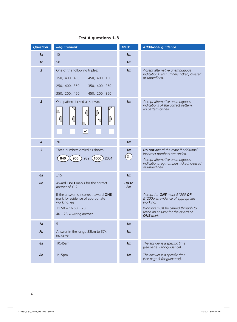| <b>Question</b> | <b>Requirement</b>                                                                                                                                                                               | <b>Mark</b>                    | <b>Additional guidance</b>                                                                                                                                                  |
|-----------------|--------------------------------------------------------------------------------------------------------------------------------------------------------------------------------------------------|--------------------------------|-----------------------------------------------------------------------------------------------------------------------------------------------------------------------------|
| 1a              | 15                                                                                                                                                                                               | 1 <sub>m</sub>                 |                                                                                                                                                                             |
| 1 <sub>b</sub>  | 50                                                                                                                                                                                               | 1 <sub>m</sub>                 |                                                                                                                                                                             |
| $\overline{2}$  | One of the following triples:<br>150, 400, 450<br>450, 400, 150<br>250, 400, 350<br>350, 400, 250<br>350, 200, 450<br>450, 200, 350                                                              | 1 <sub>m</sub>                 | Accept alternative unambiguous<br>indications, eg numbers ticked, crossed<br>or underlined.                                                                                 |
| $\overline{3}$  | One pattern ticked as shown:                                                                                                                                                                     | 1 <sub>m</sub>                 | Accept alternative unambiguous<br>indications of the correct pattern,<br>eg pattern circled.                                                                                |
| $\overline{4}$  | 70                                                                                                                                                                                               | 1 <sub>m</sub>                 |                                                                                                                                                                             |
| 5               | Three numbers circled as shown:<br>905<br>$(1000)$ 2051<br>840<br>989                                                                                                                            | 1 <sub>m</sub><br>$\boxed{U1}$ | Do not award the mark if additional<br>incorrect numbers are circled.<br>Accept alternative unambiguous<br>indications, eg numbers ticked, crossed<br>or underlined.        |
| 6a              | £15                                                                                                                                                                                              | 1 <sub>m</sub>                 |                                                                                                                                                                             |
| 6 <sub>b</sub>  | Award TWO marks for the correct<br>answer of £12<br>If the answer is incorrect, award ONE<br>mark for evidence of appropriate<br>working, eg<br>$11.50 + 16.50 = 28$<br>$40 - 28 =$ wrong answer | Up to<br>2m                    | Accept for ONE mark £1200 OR<br>£1200p as evidence of appropriate<br>working.<br>Working must be carried through to<br>reach an answer for the award of<br><b>ONE</b> mark. |
| 7a              | 5                                                                                                                                                                                                | 1 <sub>m</sub>                 |                                                                                                                                                                             |
| 7b              | Answer in the range 33km to 37km<br>inclusive.                                                                                                                                                   | 1 <sub>m</sub>                 |                                                                                                                                                                             |
| 8a              | 10:45am                                                                                                                                                                                          | 1 <sub>m</sub>                 | The answer is a specific time<br>(see page 5 for guidance).                                                                                                                 |
| 8 <sub>b</sub>  | $1:15$ pm                                                                                                                                                                                        | 1 <sub>m</sub>                 | The answer is a specific time<br>(see page 5 for guidance).                                                                                                                 |

## **Test A questions 1–8**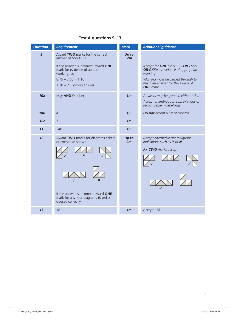## **Test A questions 9–13**

| <b>Question</b> | <b>Requirement</b>                                                                                                                                                                                            | <b>Mark</b>    | <b>Additional guidance</b>                                                                                                                                                       |
|-----------------|---------------------------------------------------------------------------------------------------------------------------------------------------------------------------------------------------------------|----------------|----------------------------------------------------------------------------------------------------------------------------------------------------------------------------------|
| $\overline{9}$  | Award TWO marks for the correct<br>answer of 55p OR £0.55<br>If the answer is incorrect, award ONE<br>mark for evidence of appropriate<br>working, eg<br>$8.75 - 7.65 = 1.10$<br>$1.10 \div 2$ = wrong answer | Up to<br>2m    | Accept for ONE mark £55 OR £55p<br>OR 0.55p as evidence of appropriate<br>working.<br>Working must be carried through to<br>reach an answer for the award of<br><b>ONE</b> mark. |
| 10a             | May AND October                                                                                                                                                                                               | 1 <sub>m</sub> | Answers may be given in either order.<br>Accept unambiguous abbreviations or<br>recognisable misspellings.                                                                       |
| <b>10b</b>      | $\overline{4}$                                                                                                                                                                                                | 1 <sub>m</sub> | Do not accept a list of months.                                                                                                                                                  |
| 10 <sub>c</sub> | $\overline{7}$                                                                                                                                                                                                | 1 <sub>m</sub> |                                                                                                                                                                                  |
| 11              | 340                                                                                                                                                                                                           | 1 <sub>m</sub> |                                                                                                                                                                                  |
| 12              | Award TWO marks for diagrams ticked<br>or crossed as shown:<br>$\mathbf x$<br>If the answer is incorrect, award ONE<br>mark for any four diagrams ticked or<br>crossed correctly.                             | Up to<br>2m    | Accept alternative unambiguous<br>indications such as $Y$ or $N$ .<br>For TWO marks accept:                                                                                      |
| 13              | 18                                                                                                                                                                                                            | 1 <sub>m</sub> | $Accept -18$                                                                                                                                                                     |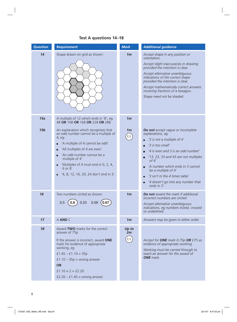| <b>Question</b> | <b>Requirement</b>                                                                                                                                                                                                                                                                                       | <b>Mark</b>                                 | <b>Additional guidance</b>                                                                                                                                                                                                                                                                                                                                                 |
|-----------------|----------------------------------------------------------------------------------------------------------------------------------------------------------------------------------------------------------------------------------------------------------------------------------------------------------|---------------------------------------------|----------------------------------------------------------------------------------------------------------------------------------------------------------------------------------------------------------------------------------------------------------------------------------------------------------------------------------------------------------------------------|
| 14              | Shape drawn on grid as shown:                                                                                                                                                                                                                                                                            | 1 <sub>m</sub>                              | Accept shape in any position or<br>orientation.<br>Accept slight inaccuracies in drawing<br>provided the intention is clear.<br>Accept alternative unambiguous<br>indications of the correct shape<br>provided the intention is clear.<br>Accept mathematically correct answers<br>involving fractions of a hexagon.<br>Shape need not be shaded.                          |
| 15a             | A multiple of 12 which ends in '8', eg<br>48 OR 108 OR 168 OR 228 OR 288                                                                                                                                                                                                                                 | 1 <sub>m</sub>                              |                                                                                                                                                                                                                                                                                                                                                                            |
| 15 <sub>b</sub> | An explanation which recognises that<br>an odd number cannot be a multiple of<br>4, eg:<br>'A multiple of 4 cannot be odd'<br>'All multiples of 4 are even'<br>'An odd number cannot be a<br>multiple of 4'<br>'Multiples of 4 must end in 0, 2, 4,<br>6 or 8'<br>'4, 8, 12, 16, 20, 24 don't end in 3'. | 1 <sub>m</sub><br>$\left( \text{U1}\right)$ | Do not accept vague or incomplete<br>explanations, eq:<br>'3 is not a multiple of 4'<br>'3 is too small'<br>п<br>'4 is even and 3 is an odd number'<br>п<br>'13, 23, 33 and 43 are not multiples<br>о<br>of 4'<br>'A number which ends in 3 cannot<br>be a multiple of 4'<br>'3 isn't in the 4 times table'<br>п<br>'4 doesn't go into any number that<br>о<br>ends in 3'. |
| 16              | Two numbers circled as shown:<br>$0.09$ $(0.67)$<br>0.23<br>0.5<br>0.8                                                                                                                                                                                                                                   | 1 <sub>m</sub>                              | Do not award the mark if additional<br>incorrect numbers are circled.<br>Accept alternative unambiquous<br>indications, eq numbers ticked, crossed<br>or underlined.                                                                                                                                                                                                       |
| 17              | A AND C                                                                                                                                                                                                                                                                                                  | 1 <sub>m</sub>                              | Answers may be given in either order.                                                                                                                                                                                                                                                                                                                                      |
| 18              | Award TWO marks for the correct<br>answer of 75p<br>If the answer is incorrect, award ONE<br>mark for evidence of appropriate<br>working, eg<br>$f1.45 - f1.10 = 35p$<br>$f1.10 - 35p =$ wrong answer<br><b>OR</b><br>$f1.10 \times 2 = f2.20$<br>$f2.20 - f1.45$ = wrong answer                         | Up to<br>2m<br>$\boxed{U1}$                 | Accept for ONE mark 0.75p OR £75 as<br>evidence of appropriate working.<br>Working must be carried through to<br>reach an answer for the award of<br><b>ONE</b> mark.                                                                                                                                                                                                      |

## **Test A questions 14–18**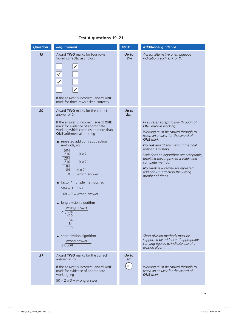## **Test A questions 19–21**

| <b>Question</b> | <b>Requirement</b>                                                                                                                                                                                                                                                                                                                                                                                                                                                                                                                                                                                                                         | <b>Mark</b>       | <b>Additional guidance</b>                                                                                                                                                                                                                                                                                                                                                                                                                                                                                                                                                           |
|-----------------|--------------------------------------------------------------------------------------------------------------------------------------------------------------------------------------------------------------------------------------------------------------------------------------------------------------------------------------------------------------------------------------------------------------------------------------------------------------------------------------------------------------------------------------------------------------------------------------------------------------------------------------------|-------------------|--------------------------------------------------------------------------------------------------------------------------------------------------------------------------------------------------------------------------------------------------------------------------------------------------------------------------------------------------------------------------------------------------------------------------------------------------------------------------------------------------------------------------------------------------------------------------------------|
| 19              | Award TWO marks for four rows<br>ticked correctly, as shown:<br>$\sqrt{}$<br>If the answer is incorrect, award ONE<br>mark for three rows ticked correctly.                                                                                                                                                                                                                                                                                                                                                                                                                                                                                | Up to<br>2m       | Accept alternative unambiguous<br>indications such as $x$ or $Y$ .                                                                                                                                                                                                                                                                                                                                                                                                                                                                                                                   |
| 20              | Award TWO marks for the correct<br>answer of 24<br>If the answer is incorrect, award ONE<br>mark for evidence of appropriate<br>working which contains no more than<br><b>ONE</b> arithmetical error, eg<br>repeated addition / subtraction<br>methods, eg<br>504<br>$-210$<br>$10 \times 21$<br>294<br>$-210$<br>$10 \times 21$<br>84<br>$-84$<br>$4 \times 21$<br>$\overline{0}$<br>wrong answer<br>factor / multiple methods, eg<br>$504 \div 3 = 168$<br>$168 \div 7$ = wrong answer<br>long division algorithm<br>П<br>wrong answer<br>21)504<br>420<br>84<br>$-84$<br>$\Omega$<br>short division algorithm<br>wrong answer<br>21)504 | Up to<br>2m       | In all cases accept follow through of<br><b>ONE</b> error in working.<br>Working must be carried through to<br>reach an answer for the award of<br><b>ONE</b> mark.<br>Do not award any marks if the final<br>answer is missing.<br>Variations on algorithms are acceptable,<br>provided they represent a viable and<br>complete method.<br><b>No mark</b> is awarded for repeated<br>addition / subtraction the wrong<br>number of times.<br>Short division methods must be<br>supported by evidence of appropriate<br>carrying figures to indicate use of a<br>division algorithm. |
| 21              | Award TWO marks for the correct<br>answer of 75<br>If the answer is incorrect, award ONE<br>mark for evidence of appropriate<br>working, eg<br>$50 \div 2 \times 3 =$ wrong answer                                                                                                                                                                                                                                                                                                                                                                                                                                                         | Up to<br>2m<br>U1 | Working must be carried through to<br>reach an answer for the award of<br><b>ONE</b> mark.                                                                                                                                                                                                                                                                                                                                                                                                                                                                                           |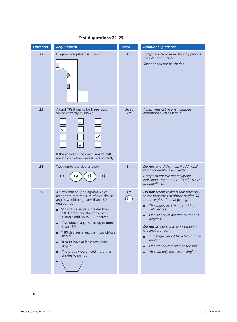

#### **Test A questions 22–25**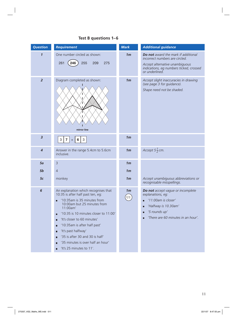## **Test B questions 1–6**

| <b>Question</b>          | <b>Requirement</b>                                                                                                                                                                                                                                                                                                                                                                                                             | <b>Mark</b>                       | <b>Additional guidance</b>                                                                                                                                                  |
|--------------------------|--------------------------------------------------------------------------------------------------------------------------------------------------------------------------------------------------------------------------------------------------------------------------------------------------------------------------------------------------------------------------------------------------------------------------------|-----------------------------------|-----------------------------------------------------------------------------------------------------------------------------------------------------------------------------|
| $\mathbf{1}$             | One number circled as shown:<br>261<br>255<br>275<br>209<br>246                                                                                                                                                                                                                                                                                                                                                                | 1 <sub>m</sub>                    | Do not award the mark if additional<br>incorrect numbers are circled.<br>Accept alternative unambiguous<br>indications, eg numbers ticked, crossed<br>or underlined.        |
| $\overline{2}$           | Diagram completed as shown:<br>mirror line                                                                                                                                                                                                                                                                                                                                                                                     | 1 <sub>m</sub>                    | Accept slight inaccuracies in drawing<br>(see page 3 for guidance).<br>Shape need not be shaded.                                                                            |
| $\overline{\mathbf{3}}$  | $\mathbf{3}$<br>$\mathbf{3}$<br>7 <sup>1</sup><br>$6\phantom{1}6$<br>$\ddot{}$                                                                                                                                                                                                                                                                                                                                                 | 1 <sub>m</sub>                    |                                                                                                                                                                             |
| $\overline{\mathcal{A}}$ | Answer in the range 5.4cm to 5.6cm<br>inclusive.                                                                                                                                                                                                                                                                                                                                                                               | 1 <sub>m</sub>                    | Accept $5\frac{1}{2}$ cm.                                                                                                                                                   |
| 5a                       | $\overline{3}$                                                                                                                                                                                                                                                                                                                                                                                                                 | 1 <sub>m</sub>                    |                                                                                                                                                                             |
| 5b                       | $\overline{4}$                                                                                                                                                                                                                                                                                                                                                                                                                 | 1 <sub>m</sub>                    |                                                                                                                                                                             |
| 5c                       | monkey                                                                                                                                                                                                                                                                                                                                                                                                                         | 1 <sub>m</sub>                    | Accept unambiguous abbreviations or<br>recognisable misspellings.                                                                                                           |
| $6\phantom{1}6$          | An explanation which recognises that<br>10:35 is after half past ten, eg:<br>'10:35am is 35 minutes from<br>П<br>10:00am but 25 minutes from<br>11:00am'<br>'10:35 is 10 minutes closer to 11:00'<br>П<br>'It's closer to 60 minutes'<br>П<br>'10:35am is after half past'<br>о<br>'It's past halfway'<br>о<br>'35 is after 30 and 30 is half'<br>п<br>'35 minutes is over half an hour'<br>П<br>'It's 25 minutes to 11'.<br>П | 1 <sub>m</sub><br>$\overline{U1}$ | Do not accept vague or incomplete<br>explanations, eg:<br>'11:00am is closer'<br>□<br>'Halfway is 10.30am'<br>П<br>'5 rounds up'<br>П<br>'There are 60 minutes in an hour'. |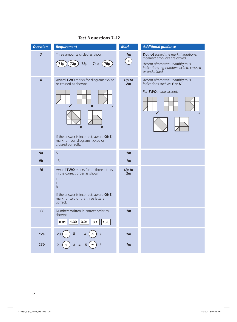## **Test B questions 7–12**

| <b>Question</b> | <b>Requirement</b>                                                                                                                                                                                                 | <b>Mark</b>                                  | <b>Additional guidance</b>                                                                                                                                           |
|-----------------|--------------------------------------------------------------------------------------------------------------------------------------------------------------------------------------------------------------------|----------------------------------------------|----------------------------------------------------------------------------------------------------------------------------------------------------------------------|
| $\overline{z}$  | Three amounts circled as shown:<br>71 <sub>p</sub><br><b>72p</b><br><b>75p</b><br>73p<br>74 <sub>p</sub>                                                                                                           | 1 <sub>m</sub><br>$\left(\mathrm{U1}\right)$ | Do not award the mark if additional<br>incorrect amounts are circled.<br>Accept alternative unambiguous<br>indications, eg numbers ticked, crossed<br>or underlined. |
| 8               | Award TWO marks for diagrams ticked<br>or crossed as shown:<br>$\boldsymbol{\mathsf{x}}$<br>$\pmb{\times}$<br>×<br>If the answer is incorrect, award ONE<br>mark for four diagrams ticked or<br>crossed correctly. | Up to<br>2m                                  | Accept alternative unambiguous<br>indications such as $Y$ or $N$ .<br>For TWO marks accept:                                                                          |
| 9a              | 5                                                                                                                                                                                                                  | 1 <sub>m</sub>                               |                                                                                                                                                                      |
| 9 <sub>b</sub>  | 13                                                                                                                                                                                                                 | 1 <sub>m</sub>                               |                                                                                                                                                                      |
| 10              | Award TWO marks for all three letters<br>in the correct order as shown:<br>F<br>E<br>B<br>If the answer is incorrect, award ONE<br>mark for two of the three letters<br>correct.                                   | Up to<br>2m                                  |                                                                                                                                                                      |
| 11              | Numbers written in correct order as<br>shown:<br>$\vert 1.30 \vert \vert 3.01 \vert \vert 3.1$<br>0.31<br>13.0                                                                                                     | 1 <sub>m</sub>                               |                                                                                                                                                                      |
| 12a             | $8 = 4$<br>(x)<br>20<br>$\overline{7}$                                                                                                                                                                             | 1 <sub>m</sub>                               |                                                                                                                                                                      |
| 12 <sub>b</sub> | $3 = 15$<br>8<br>21                                                                                                                                                                                                | 1 <sub>m</sub>                               |                                                                                                                                                                      |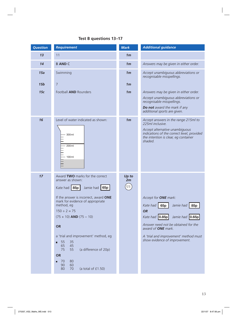## **Test B questions 13–17**

| <b>Question</b> | <b>Requirement</b>                                                                                                                                                                                                                                                                                                                                                                                                                                   | <b>Mark</b>       | <b>Additional guidance</b>                                                                                                                                                                                                                                                   |
|-----------------|------------------------------------------------------------------------------------------------------------------------------------------------------------------------------------------------------------------------------------------------------------------------------------------------------------------------------------------------------------------------------------------------------------------------------------------------------|-------------------|------------------------------------------------------------------------------------------------------------------------------------------------------------------------------------------------------------------------------------------------------------------------------|
| 13              | 11                                                                                                                                                                                                                                                                                                                                                                                                                                                   | 1 <sub>m</sub>    |                                                                                                                                                                                                                                                                              |
| 14              | <b>B AND C</b>                                                                                                                                                                                                                                                                                                                                                                                                                                       | 1 <sub>m</sub>    | Answers may be given in either order.                                                                                                                                                                                                                                        |
| 15a             | Swimming                                                                                                                                                                                                                                                                                                                                                                                                                                             | 1 <sub>m</sub>    | Accept unambiguous abbreviations or<br>recognisable misspellings.                                                                                                                                                                                                            |
| 15 <sub>b</sub> | $\overline{7}$                                                                                                                                                                                                                                                                                                                                                                                                                                       | 1 <sub>m</sub>    |                                                                                                                                                                                                                                                                              |
| 15c             | Football <b>AND</b> Rounders                                                                                                                                                                                                                                                                                                                                                                                                                         | 1 <sub>m</sub>    | Answers may be given in either order.<br>Accept unambiguous abbreviations or<br>recognisable misspellings.<br><b>Do not</b> award the mark if any<br>additional sports are given.                                                                                            |
| 16              | Level of water indicated as shown:<br>300 ml<br>200 ml<br>100ml                                                                                                                                                                                                                                                                                                                                                                                      | 1 <sub>m</sub>    | Accept answers in the range 215ml to<br>225ml inclusive.<br>Accept alternative unambiguous<br>indications of the correct level, provided<br>the intention is clear, eg container<br>shaded.                                                                                  |
| 17              | Award TWO marks for the correct<br>answer as shown:<br>Kate had   85p  <br>Jamie had 65p<br>If the answer is incorrect, award <b>ONE</b><br>mark for evidence of appropriate<br>method, eg<br>$150 \div 2 = 75$<br>$(75 + 10)$ AND $(75 - 10)$<br><b>OR</b><br>a 'trial and improvement' method, eg<br>55<br>35<br>П<br>65<br>45<br>75<br>(a difference of 20p)<br>55<br><b>OR</b><br>80<br>70<br>П<br>90<br>60<br>70<br>80<br>(a total of $£1.50$ ) | Up to<br>2m<br>U1 | Accept for ONE mark:<br>Kate had $\vert$ 65p $\vert$<br>Jamie had 85p<br><b>OR</b><br>Kate had <b>0.85p</b><br>Jamie had 0.65p<br>Answer need not be obtained for the<br>award of <b>ONE</b> mark.<br>A 'trial and improvement' method must<br>show evidence of improvement. |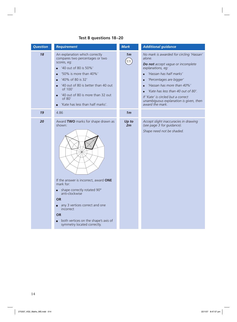## **Test B questions 18–20**

| <b>Question</b> | <b>Requirement</b>                                                                                                                                                                                                                                                                                                | <b>Mark</b>                    | <b>Additional guidance</b>                                                                                                                                                                                                                                                                                                                           |
|-----------------|-------------------------------------------------------------------------------------------------------------------------------------------------------------------------------------------------------------------------------------------------------------------------------------------------------------------|--------------------------------|------------------------------------------------------------------------------------------------------------------------------------------------------------------------------------------------------------------------------------------------------------------------------------------------------------------------------------------------------|
| 18              | An explanation which correctly<br>compares two percentages or two<br>scores, eg:<br>'40 out of 80 is 50%'<br>'50% is more than 40%'<br>П<br>'40% of 80 is 32'<br>п<br>'40 out of 80 is better than 40 out<br>П<br>of 100'<br>'40 out of 80 is more than 32 out<br>of 80'<br>'Kate has less than half marks'.<br>п | 1 <sub>m</sub><br>$\boxed{U1}$ | No mark is awarded for circling 'Hassan'<br>alone.<br>Do not accept vague or incomplete<br>explanations, eg:<br>'Hassan has half marks'<br>'Percentages are bigger'<br>П<br>'Hassan has more than 40%'<br>П<br>'Kate has less than 40 out of 80'.<br>If 'Kate' is circled but a correct<br>unambiguous explanation is given, then<br>award the mark. |
| 19              | 4.86                                                                                                                                                                                                                                                                                                              | 1 <sub>m</sub>                 |                                                                                                                                                                                                                                                                                                                                                      |
| 20              | Award TWO marks for shape drawn as<br>shown:<br>If the answer is incorrect, award ONE<br>mark for:                                                                                                                                                                                                                | Up to<br>2m                    | Accept slight inaccuracies in drawing<br>(see page 3 for guidance).<br>Shape need not be shaded.                                                                                                                                                                                                                                                     |
|                 | shape correctly rotated 90°<br>anti-clockwise<br><b>OR</b><br>any 3 vertices correct and one<br>incorrect<br><b>OR</b><br>both vertices on the shape's axis of<br>symmetry located correctly.                                                                                                                     |                                |                                                                                                                                                                                                                                                                                                                                                      |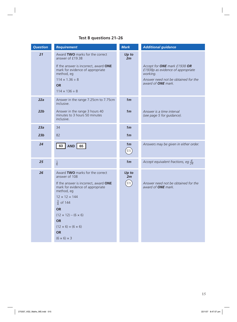## **Test B questions 21–26**

| <b>Question</b> | <b>Requirement</b>                                                                                                                                                                                                                                                                                                          | <b>Mark</b>                                                                   | <b>Additional guidance</b>                                                                                                                        |
|-----------------|-----------------------------------------------------------------------------------------------------------------------------------------------------------------------------------------------------------------------------------------------------------------------------------------------------------------------------|-------------------------------------------------------------------------------|---------------------------------------------------------------------------------------------------------------------------------------------------|
| 21              | Award TWO marks for the correct<br>answer of £19.38<br>If the answer is incorrect, award ONE<br>mark for evidence of appropriate<br>method, eg<br>$114 \times 1.36 \div 8$<br><b>OR</b><br>$114 \times 136 \div 8$                                                                                                          | Up to<br>2m                                                                   | Accept for ONE mark £1938 OR<br>£1938p as evidence of appropriate<br>working.<br>Answer need not be obtained for the<br>award of <b>ONE</b> mark. |
| 22a<br>22b      | Answer in the range 7.25cm to 7.75cm<br>inclusive.<br>Answer in the range 3 hours 40<br>minutes to 3 hours 50 minutes<br>inclusive.                                                                                                                                                                                         | 1 <sub>m</sub><br>1 <sub>m</sub>                                              | Answer is a time interval<br>(see page 5 for guidance).                                                                                           |
| 23a             | 34                                                                                                                                                                                                                                                                                                                          | 1 <sub>m</sub>                                                                |                                                                                                                                                   |
| 23 <sub>b</sub> | 82                                                                                                                                                                                                                                                                                                                          | 1 <sub>m</sub>                                                                |                                                                                                                                                   |
| 24              | 63   AND   65                                                                                                                                                                                                                                                                                                               | 1 <sub>m</sub><br>$\left( \begin{matrix} 0 & 1 \\ 0 & 1 \end{matrix} \right)$ | Answers may be given in either order.                                                                                                             |
| 25              | $\frac{1}{6}$                                                                                                                                                                                                                                                                                                               | 1 <sub>m</sub>                                                                | Accept equivalent fractions, eg $\frac{4}{24}$                                                                                                    |
| 26              | Award TWO marks for the correct<br>answer of 108<br>If the answer is incorrect, award ONE<br>mark for evidence of appropriate<br>method, eg<br>$12 \times 12 = 144$<br>$\frac{3}{4}$ of 144<br><b>OR</b><br>$(12 \times 12) - (6 \times 6)$<br><b>OR</b><br>$(12 \times 6) + (6 \times 6)$<br>OR<br>$(6 \times 6) \times 3$ | Up to<br>2m<br>U1                                                             | Answer need not be obtained for the<br>award of <b>ONE</b> mark.                                                                                  |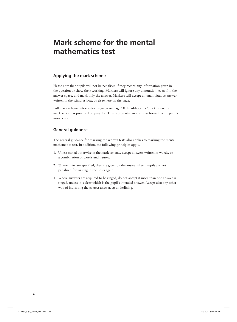## **Mark scheme for the mental mathematics test**

#### **Applying the mark scheme**

Please note that pupils will not be penalised if they record any information given in the question or show their working. Markers will ignore any annotation, even if in the answer space, and mark only the answer. Markers will accept an unambiguous answer written in the stimulus box, or elsewhere on the page.

Full mark scheme information is given on page 18. In addition, a 'quick reference' mark scheme is provided on page 17. This is presented in a similar format to the pupil's answer sheet.

#### **General guidance**

The general guidance for marking the written tests also applies to marking the mental mathematics test. In addition, the following principles apply.

- 1. Unless stated otherwise in the mark scheme, accept answers written in words, or a combination of words and figures.
- 2. Where units are specified, they are given on the answer sheet. Pupils are not penalised for writing in the units again.
- 3. Where answers are required to be ringed, do not accept if more than one answer is ringed, unless it is clear which is the pupil's intended answer. Accept also any other way of indicating the correct answer, eg underlining.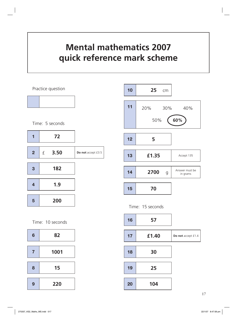## **Mental mathematics 2007 quick reference mark scheme**



 **25** cm **70 5 £1.35** Accept 135  **2700** g Answer must be in grams 20% 30% 40% 50% **60%**



| 16 | 57    |                    |
|----|-------|--------------------|
| 17 | £1.40 | Do not accept £1.4 |
| 18 | 30    |                    |
| 19 | 25    |                    |
| 20 | 104   |                    |

Time: 10 seconds

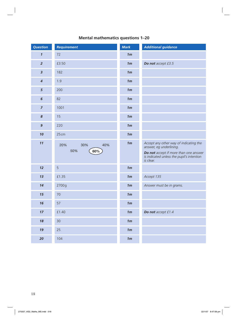|  | <b>Mental mathematics questions 1-20</b> |  |  |
|--|------------------------------------------|--|--|
|--|------------------------------------------|--|--|

| <b>Question</b>            | <b>Requirement</b>              | <b>Mark</b>    | <b>Additional guidance</b>                                                                                                                                           |
|----------------------------|---------------------------------|----------------|----------------------------------------------------------------------------------------------------------------------------------------------------------------------|
| $\boldsymbol{\mathcal{I}}$ | 72                              | 1 <sub>m</sub> |                                                                                                                                                                      |
| $\overline{2}$             | £3.50                           | 1 <sub>m</sub> | Do not accept £3.5                                                                                                                                                   |
| $\overline{\mathbf{3}}$    | 182                             | 1 <sub>m</sub> |                                                                                                                                                                      |
| $\overline{\mathcal{A}}$   | 1.9                             | 1 <sub>m</sub> |                                                                                                                                                                      |
| 5                          | 200                             | 1 <sub>m</sub> |                                                                                                                                                                      |
| $\boldsymbol{6}$           | 82                              | 1 <sub>m</sub> |                                                                                                                                                                      |
| $\overline{z}$             | 1001                            | 1 <sub>m</sub> |                                                                                                                                                                      |
| $\boldsymbol{8}$           | 15                              | 1 <sub>m</sub> |                                                                                                                                                                      |
| $\mathbf{9}$               | 220                             | 1 <sub>m</sub> |                                                                                                                                                                      |
| 10                         | 25cm                            | 1 <sub>m</sub> |                                                                                                                                                                      |
| 11                         | 20%<br>30%<br>40%<br>50%<br>60% | 1 <sub>m</sub> | Accept any other way of indicating the<br>answer, eg underlining.<br>Do not accept if more than one answer<br>is indicated unless the pupil's intention<br>is clear. |
| 12                         | 5                               | 1 <sub>m</sub> |                                                                                                                                                                      |
| 13                         | £1.35                           | 1 <sub>m</sub> | Accept 135                                                                                                                                                           |
| 14                         | 2700g                           | 1m             | Answer must be in grams.                                                                                                                                             |
| 15                         | 70                              | 1 <sub>m</sub> |                                                                                                                                                                      |
| 16                         | 57                              | 1m             |                                                                                                                                                                      |
| 17                         | £1.40                           | 1 <sub>m</sub> | Do not accept £1.4                                                                                                                                                   |
| 18                         | 30                              | 1m             |                                                                                                                                                                      |
| 19                         | 25                              | 1 <sub>m</sub> |                                                                                                                                                                      |
| 20                         | 104                             | 1 <sub>m</sub> |                                                                                                                                                                      |